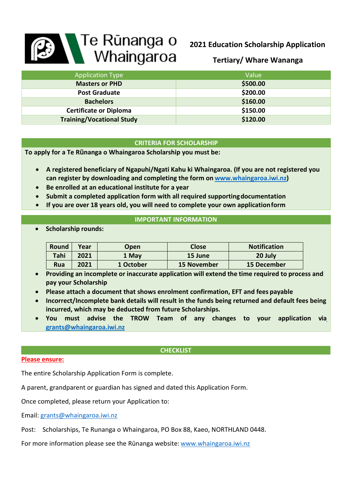# **Bandary Te Runanga o**<br>
Whaingaroa

# **2021 Education Scholarship Application**

**Tertiary/ Whare Wananga**

| <b>Application Type</b>          | Value    |
|----------------------------------|----------|
| <b>Masters or PHD</b>            | \$500.00 |
| <b>Post Graduate</b>             | \$200.00 |
| <b>Bachelors</b>                 | \$160.00 |
| <b>Certificate or Diploma</b>    | \$150.00 |
| <b>Training/Vocational Study</b> | \$120.00 |

# **CRITERIA FOR SCHOLARSHIP**

**To apply for a Te Rūnanga o Whaingaroa Scholarship you must be:**

- **A registered beneficiary of Ngapuhi/Ngati Kahu ki Whaingaroa. (If you are not registered you can register by downloading and completing the form on [www.whaingaroa.iwi.nz\)](http://www.whaingaroa.iwi.nz/)**
- **Be enrolled at an educational institute for a year**
- **Submit a completed application form with all required supportingdocumentation**
- **If you are over 18 years old, you will need to complete your own applicationform**

# **IMPORTANT INFORMATION**

• **Scholarship rounds:**

| Round      | Year | Open      | Close              | <b>Notification</b> |
|------------|------|-----------|--------------------|---------------------|
| Tahi       | 2021 | 1 May     | 15 June            | 20 July             |
| <b>Rua</b> | 2021 | 1 October | <b>15 November</b> | <b>15 December</b>  |

- **Providing an incomplete or inaccurate application will extend the time required to process and pay your Scholarship**
- **Please attach a document that shows enrolment confirmation, EFT and fees payable**
- **Incorrect/Incomplete bank details will result in the funds being returned and default fees being incurred, which may be deducted from future Scholarships.**
- **You must advise the TROW Team of any changes to your application vi[a](mailto:grants@whaingaroa.iwi.nz) [grants@whaingaroa.iwi.nz](mailto:grants@whaingaroa.iwi.nz)**

# **CHECKLIST**

# **Please ensure:**

The entire Scholarship Application Form is complete.

A parent, grandparent or guardian has signed and dated this Application Form.

Once completed, please return your Application to:

Email: [grants@whaingaroa.iwi.nz](mailto:grants@whaingaroa.iwi.nz)

Post: Scholarships, Te Runanga o Whaingaroa, PO Box 88, Kaeo, NORTHLAND 0448.

For more information please see the Rūnanga website: [www.whaingaroa.iwi.nz](http://www.whaingaroa.iwi.nz/)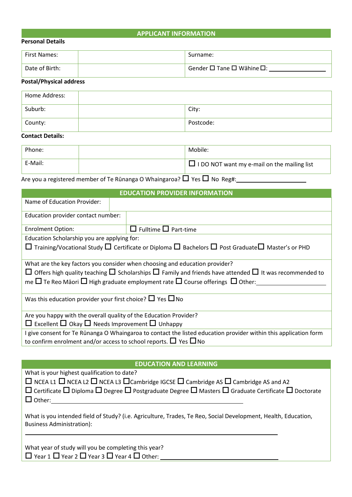# **APPLICANT INFORMATION**

### **Personal Details**

| <b>First Names:</b> | Surname:                                           |
|---------------------|----------------------------------------------------|
| Date of Birth:      | Gender $\square$ Tane $\square$ Wāhine $\square$ : |

# **Postal/Physical address**

| Home Address: |           |
|---------------|-----------|
| Suburb:       | City:     |
| County:       | Postcode: |

# **Contact Details:**

| Phone:  | Mobile:                                            |
|---------|----------------------------------------------------|
| E-Mail: | $\Box$ I DO NOT want my e-mail on the mailing list |

Are you a registered member of Te Rūnanga O Whaingaroa?  $\Box$  Yes  $\Box$  No Reg#:

| <b>EDUCATION PROVIDER INFORMATION</b>                                      |                                                                                                                                                                                                                                                                                                                  |  |
|----------------------------------------------------------------------------|------------------------------------------------------------------------------------------------------------------------------------------------------------------------------------------------------------------------------------------------------------------------------------------------------------------|--|
| Name of Education Provider:                                                |                                                                                                                                                                                                                                                                                                                  |  |
| Education provider contact number:                                         |                                                                                                                                                                                                                                                                                                                  |  |
| <b>Enrolment Option:</b>                                                   | $\Box$ Fulltime $\Box$ Part-time                                                                                                                                                                                                                                                                                 |  |
| Education Scholarship you are applying for:                                |                                                                                                                                                                                                                                                                                                                  |  |
|                                                                            | $\Box$ Training/Vocational Study $\Box$ Certificate or Diploma $\Box$ Bachelors $\Box$ Post Graduate $\Box$ Master's or PHD                                                                                                                                                                                      |  |
|                                                                            | What are the key factors you consider when choosing and education provider?<br>$\Box$ Offers high quality teaching $\Box$ Scholarships $\Box$ Family and friends have attended $\Box$ It was recommended to<br>me $\Box$ Te Reo Māori $\Box$ High graduate employment rate $\Box$ Course offerings $\Box$ Other: |  |
| Was this education provider your first choice? $\Box$ Yes $\Box$ No        |                                                                                                                                                                                                                                                                                                                  |  |
| Are you happy with the overall quality of the Education Provider?          |                                                                                                                                                                                                                                                                                                                  |  |
| $\Box$ Excellent $\Box$ Okay $\Box$ Needs Improvement $\Box$ Unhappy       |                                                                                                                                                                                                                                                                                                                  |  |
|                                                                            | I give consent for Te Rūnanga O Whaingaroa to contact the listed education provider within this application form                                                                                                                                                                                                 |  |
| to confirm enrolment and/or access to school reports. $\Box$ Yes $\Box$ No |                                                                                                                                                                                                                                                                                                                  |  |

### **EDUCATION AND LEARNING**

What is your highest qualification to date?

 $\Box$  NCEA L1  $\Box$  NCEA L2  $\Box$  NCEA L3  $\Box$ Cambridge IGCSE  $\Box$  Cambridge AS  $\Box$  Cambridge AS and A2

 $\Box$  Certificate  $\Box$  Diploma  $\Box$  Degree  $\Box$  Postgraduate Degree  $\Box$  Masters  $\Box$  Graduate Certificate  $\Box$  Doctorate  $\Box$  Other:

What is you intended field of Study? (i.e. Agriculture, Trades, Te Reo, Social Development, Health, Education, Business Administration):

What year of study will you be completing this year?  $\Box$  Year 1  $\Box$  Year 2  $\Box$  Year 3  $\Box$  Year 4  $\Box$  Other: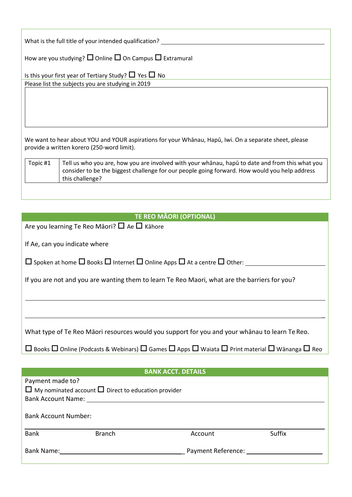| What is the full title of your intended qualification? |
|--------------------------------------------------------|
|--------------------------------------------------------|

How are you studying?  $\square$  Online  $\square$  On Campus  $\square$  Extramural

| Is this your first year of Tertiary Study? $\Box$ Yes $\Box$ No |
|-----------------------------------------------------------------|
| Please list the subjects you are studying in 2019               |

We want to hear about YOU and YOUR aspirations for your Whānau, Hapū, Iwi. On a separate sheet, please provide a written korero (250-word limit).

| Topic #1 | Tell us who you are, how you are involved with your whanau, hapu to date and from this what you<br>consider to be the biggest challenge for our people going forward. How would you help address |
|----------|--------------------------------------------------------------------------------------------------------------------------------------------------------------------------------------------------|
|          | this challenge?                                                                                                                                                                                  |

| <b>TE REO MÃORI (OPTIONAL)</b>                                                                                                          |
|-----------------------------------------------------------------------------------------------------------------------------------------|
| Are you learning Te Reo Māori? $\Box$ Ae $\Box$ Kähore                                                                                  |
|                                                                                                                                         |
| If Ae, can you indicate where                                                                                                           |
| $\Box$ Spoken at home $\Box$ Books $\Box$ Internet $\Box$ Online Apps $\Box$ At a centre $\Box$ Other:                                  |
| If you are not and you are wanting them to learn Te Reo Maori, what are the barriers for you?                                           |
|                                                                                                                                         |
|                                                                                                                                         |
|                                                                                                                                         |
|                                                                                                                                         |
| What type of Te Reo Māori resources would you support for you and your whānau to learn Te Reo.                                          |
| $\Box$ Books $\Box$ Online (Podcasts & Webinars) $\Box$ Games $\Box$ Apps $\Box$ Waiata $\Box$ Print material $\Box$ Wānanga $\Box$ Reo |
|                                                                                                                                         |
| <b>BANK ACCT. DETAILS</b>                                                                                                               |
| Payment made to?                                                                                                                        |
| $\Box$ My nominated account $\Box$ Direct to education provider                                                                         |
| <b>Bank Account Name:</b>                                                                                                               |

Bank Account Number:

Bank Branch Account Suffix

Bank Name: \_ Payment Reference: